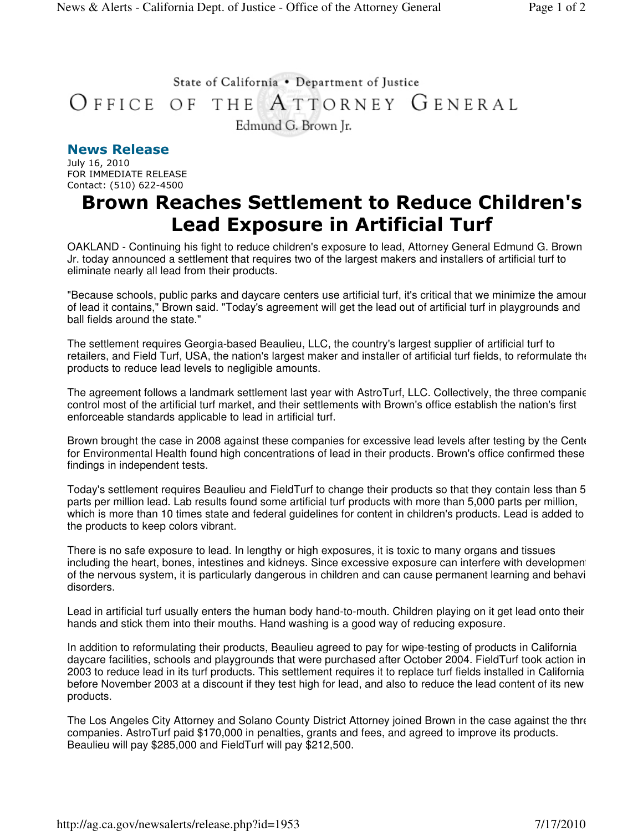## State of California . Department of Justice OFFICE OF THE ATTORNEY GENERAL Edmund G. Brown Jr.

## News Release

July 16, 2010 FOR IMMEDIATE RELEASE Contact: (510) 622-4500

## Brown Reaches Settlement to Reduce Children's Lead Exposure in Artificial Turf

OAKLAND - Continuing his fight to reduce children's exposure to lead, Attorney General Edmund G. Brown Jr. today announced a settlement that requires two of the largest makers and installers of artificial turf to eliminate nearly all lead from their products.

"Because schools, public parks and daycare centers use artificial turf, it's critical that we minimize the amour of lead it contains," Brown said. "Today's agreement will get the lead out of artificial turf in playgrounds and ball fields around the state."

The settlement requires Georgia-based Beaulieu, LLC, the country's largest supplier of artificial turf to retailers, and Field Turf, USA, the nation's largest maker and installer of artificial turf fields, to reformulate the products to reduce lead levels to negligible amounts.

The agreement follows a landmark settlement last year with AstroTurf, LLC. Collectively, the three companies control most of the artificial turf market, and their settlements with Brown's office establish the nation's first enforceable standards applicable to lead in artificial turf.

Brown brought the case in 2008 against these companies for excessive lead levels after testing by the Center for Environmental Health found high concentrations of lead in their products. Brown's office confirmed these findings in independent tests.

Today's settlement requires Beaulieu and FieldTurf to change their products so that they contain less than 50 parts per million lead. Lab results found some artificial turf products with more than 5,000 parts per million, which is more than 10 times state and federal guidelines for content in children's products. Lead is added to the products to keep colors vibrant.

There is no safe exposure to lead. In lengthy or high exposures, it is toxic to many organs and tissues including the heart, bones, intestines and kidneys. Since excessive exposure can interfere with development of the nervous system, it is particularly dangerous in children and can cause permanent learning and behavi disorders.

Lead in artificial turf usually enters the human body hand-to-mouth. Children playing on it get lead onto their hands and stick them into their mouths. Hand washing is a good way of reducing exposure.

In addition to reformulating their products, Beaulieu agreed to pay for wipe-testing of products in California daycare facilities, schools and playgrounds that were purchased after October 2004. FieldTurf took action in 2003 to reduce lead in its turf products. This settlement requires it to replace turf fields installed in California before November 2003 at a discount if they test high for lead, and also to reduce the lead content of its new products.

The Los Angeles City Attorney and Solano County District Attorney joined Brown in the case against the three companies. AstroTurf paid \$170,000 in penalties, grants and fees, and agreed to improve its products. Beaulieu will pay \$285,000 and FieldTurf will pay \$212,500.